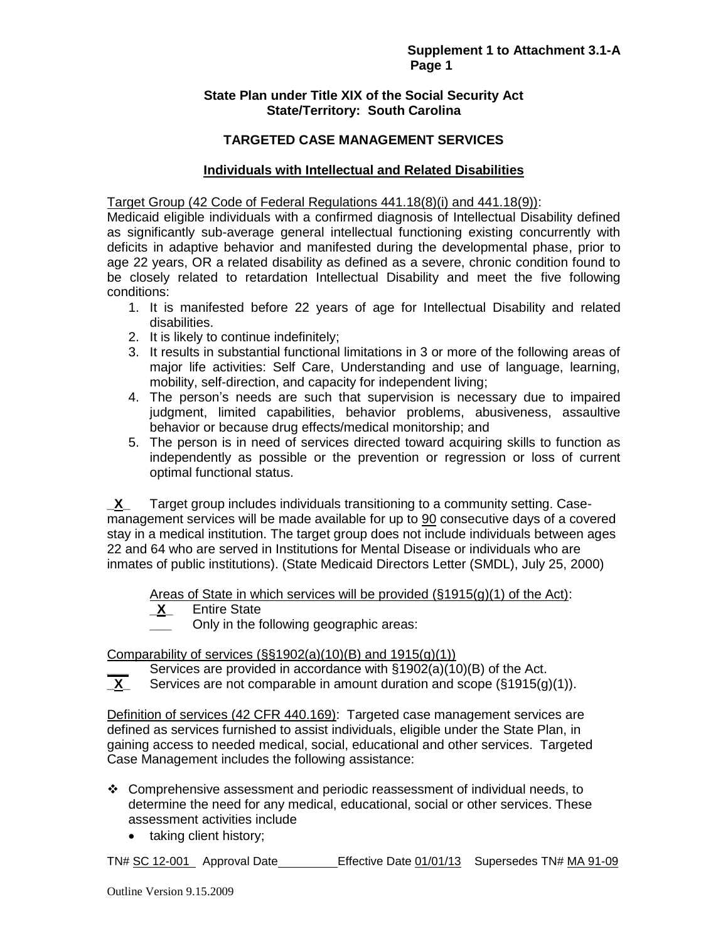### **State Plan under Title XIX of the Social Security Act State/Territory: South Carolina**

# **TARGETED CASE MANAGEMENT SERVICES**

# **Individuals with Intellectual and Related Disabilities**

Target Group (42 Code of Federal Regulations 441.18(8)(i) and 441.18(9)):

Medicaid eligible individuals with a confirmed diagnosis of Intellectual Disability defined as significantly sub-average general intellectual functioning existing concurrently with deficits in adaptive behavior and manifested during the developmental phase, prior to age 22 years, OR a related disability as defined as a severe, chronic condition found to be closely related to retardation Intellectual Disability and meet the five following conditions:

- 1. It is manifested before 22 years of age for Intellectual Disability and related disabilities.
- 2. It is likely to continue indefinitely;
- 3. It results in substantial functional limitations in 3 or more of the following areas of major life activities: Self Care, Understanding and use of language, learning, mobility, self-direction, and capacity for independent living;
- 4. The person's needs are such that supervision is necessary due to impaired judgment, limited capabilities, behavior problems, abusiveness, assaultive behavior or because drug effects/medical monitorship; and
- 5. The person is in need of services directed toward acquiring skills to function as independently as possible or the prevention or regression or loss of current optimal functional status.

**\_X\_** Target group includes individuals transitioning to a community setting. Casemanagement services will be made available for up to 90 consecutive days of a covered stay in a medical institution. The target group does not include individuals between ages 22 and 64 who are served in Institutions for Mental Disease or individuals who are inmates of public institutions). (State Medicaid Directors Letter (SMDL), July 25, 2000)

Areas of State in which services will be provided  $(\S1915(q)(1)$  of the Act):

- **\_X\_** Entire State
- **\_\_\_** Only in the following geographic areas:

Comparability of services (§§1902(a)(10)(B) and 1915(g)(1))

- Services are provided in accordance with §1902(a)(10)(B) of the Act.
- $\overline{\mathbf{X}}$  Services are not comparable in amount duration and scope (§1915(g)(1)).

Definition of services (42 CFR 440.169): Targeted case management services are defined as services furnished to assist individuals, eligible under the State Plan, in gaining access to needed medical, social, educational and other services. Targeted Case Management includes the following assistance:

- $\div$  Comprehensive assessment and periodic reassessment of individual needs, to determine the need for any medical, educational, social or other services. These assessment activities include
	- taking client history;

TN# SC 12-001 Approval Date \_\_\_\_\_\_\_\_\_\_\_Effective Date 01/01/13 Supersedes TN# MA 91-09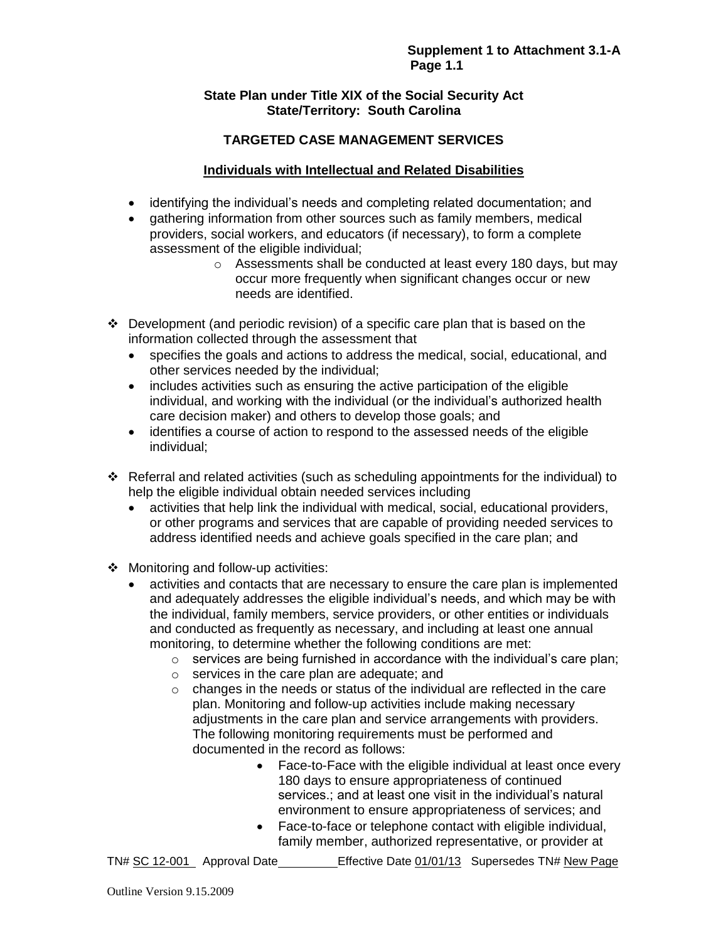### **State Plan under Title XIX of the Social Security Act State/Territory: South Carolina**

# **TARGETED CASE MANAGEMENT SERVICES**

# **Individuals with Intellectual and Related Disabilities**

- identifying the individual's needs and completing related documentation; and
- gathering information from other sources such as family members, medical providers, social workers, and educators (if necessary), to form a complete assessment of the eligible individual;
	- o Assessments shall be conducted at least every 180 days, but may occur more frequently when significant changes occur or new needs are identified.
- $\div$  Development (and periodic revision) of a specific care plan that is based on the information collected through the assessment that
	- specifies the goals and actions to address the medical, social, educational, and other services needed by the individual;
	- includes activities such as ensuring the active participation of the eligible individual, and working with the individual (or the individual's authorized health care decision maker) and others to develop those goals; and
	- identifies a course of action to respond to the assessed needs of the eligible individual;
- Referral and related activities (such as scheduling appointments for the individual) to help the eligible individual obtain needed services including
	- activities that help link the individual with medical, social, educational providers, or other programs and services that are capable of providing needed services to address identified needs and achieve goals specified in the care plan; and
- ❖ Monitoring and follow-up activities:
	- activities and contacts that are necessary to ensure the care plan is implemented and adequately addresses the eligible individual's needs, and which may be with the individual, family members, service providers, or other entities or individuals and conducted as frequently as necessary, and including at least one annual monitoring, to determine whether the following conditions are met:
		- $\circ$  services are being furnished in accordance with the individual's care plan;
		- o services in the care plan are adequate; and
		- $\circ$  changes in the needs or status of the individual are reflected in the care plan. Monitoring and follow-up activities include making necessary adjustments in the care plan and service arrangements with providers. The following monitoring requirements must be performed and documented in the record as follows:
			- Face-to-Face with the eligible individual at least once every 180 days to ensure appropriateness of continued services.; and at least one visit in the individual's natural environment to ensure appropriateness of services; and
			- Face-to-face or telephone contact with eligible individual, family member, authorized representative, or provider at

TN# SC 12-001 Approval Date Effective Date 01/01/13 Supersedes TN# New Page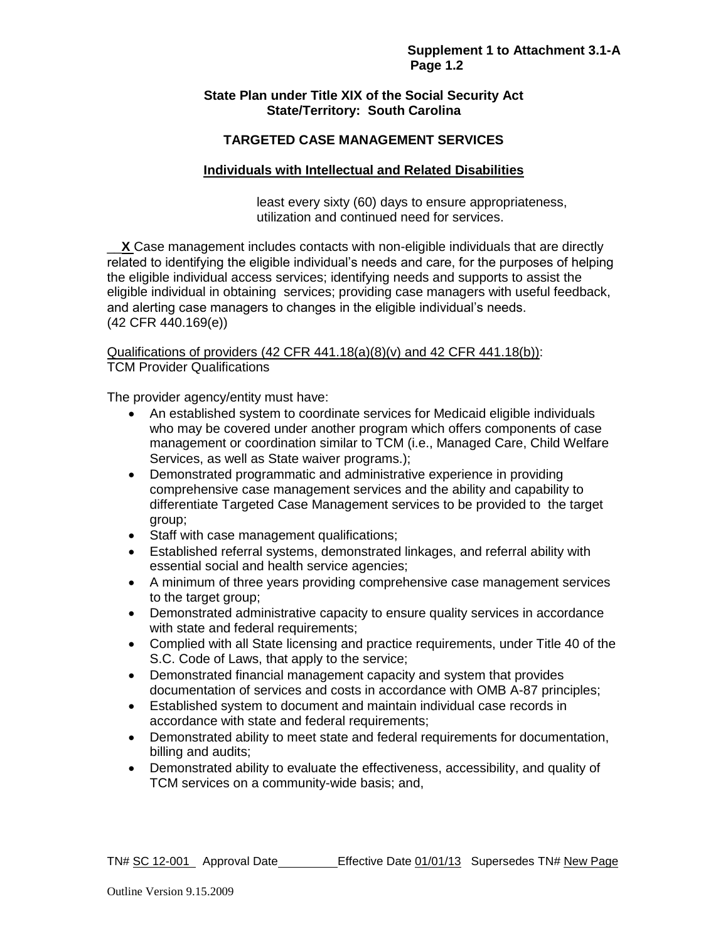### **State Plan under Title XIX of the Social Security Act State/Territory: South Carolina**

### **TARGETED CASE MANAGEMENT SERVICES**

### **Individuals with Intellectual and Related Disabilities**

least every sixty (60) days to ensure appropriateness, utilization and continued need for services.

**X** Case management includes contacts with non-eligible individuals that are directly related to identifying the eligible individual's needs and care, for the purposes of helping the eligible individual access services; identifying needs and supports to assist the eligible individual in obtaining services; providing case managers with useful feedback, and alerting case managers to changes in the eligible individual's needs. (42 CFR 440.169(e))

#### Qualifications of providers (42 CFR 441.18(a)(8)(v) and 42 CFR 441.18(b)): TCM Provider Qualifications

The provider agency/entity must have:

- An established system to coordinate services for Medicaid eligible individuals who may be covered under another program which offers components of case management or coordination similar to TCM (i.e., Managed Care, Child Welfare Services, as well as State waiver programs.);
- Demonstrated programmatic and administrative experience in providing comprehensive case management services and the ability and capability to differentiate Targeted Case Management services to be provided to the target group;
- Staff with case management qualifications;
- Established referral systems, demonstrated linkages, and referral ability with essential social and health service agencies;
- A minimum of three years providing comprehensive case management services to the target group;
- Demonstrated administrative capacity to ensure quality services in accordance with state and federal requirements;
- Complied with all State licensing and practice requirements, under Title 40 of the S.C. Code of Laws, that apply to the service;
- Demonstrated financial management capacity and system that provides documentation of services and costs in accordance with OMB A-87 principles;
- Established system to document and maintain individual case records in accordance with state and federal requirements;
- Demonstrated ability to meet state and federal requirements for documentation, billing and audits;
- Demonstrated ability to evaluate the effectiveness, accessibility, and quality of TCM services on a community-wide basis; and,

TN# SC 12-001 Approval Date \_\_\_\_\_\_\_\_\_\_\_Effective Date 01/01/13 Supersedes TN# New Page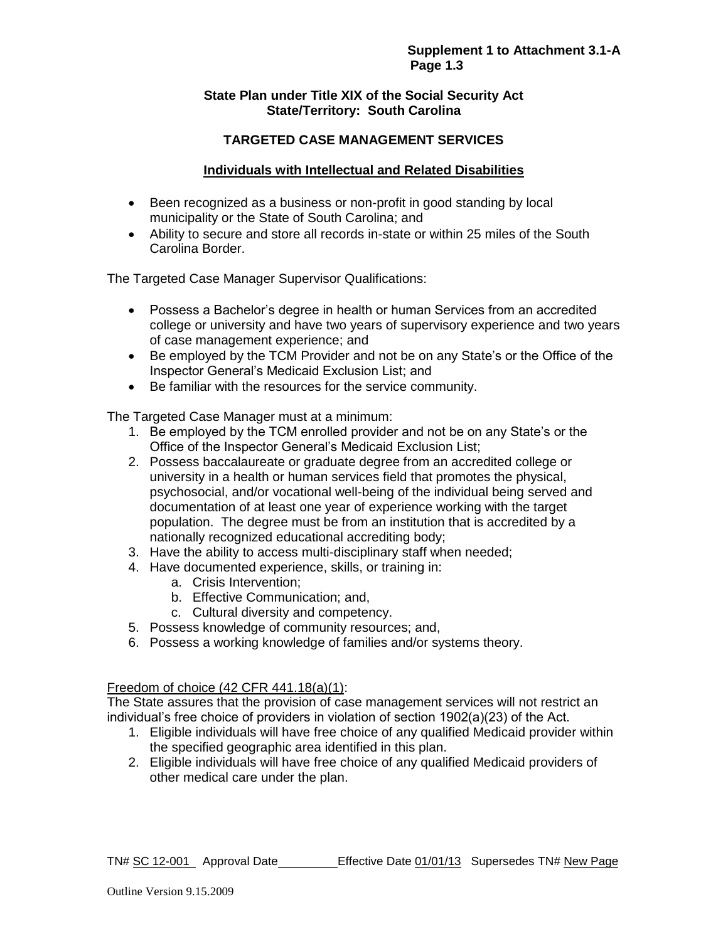### **State Plan under Title XIX of the Social Security Act State/Territory: South Carolina**

# **TARGETED CASE MANAGEMENT SERVICES**

# **Individuals with Intellectual and Related Disabilities**

- Been recognized as a business or non-profit in good standing by local municipality or the State of South Carolina; and
- Ability to secure and store all records in-state or within 25 miles of the South Carolina Border.

The Targeted Case Manager Supervisor Qualifications:

- Possess a Bachelor's degree in health or human Services from an accredited college or university and have two years of supervisory experience and two years of case management experience; and
- Be employed by the TCM Provider and not be on any State's or the Office of the Inspector General's Medicaid Exclusion List; and
- Be familiar with the resources for the service community.

The Targeted Case Manager must at a minimum:

- 1. Be employed by the TCM enrolled provider and not be on any State's or the Office of the Inspector General's Medicaid Exclusion List;
- 2. Possess baccalaureate or graduate degree from an accredited college or university in a health or human services field that promotes the physical, psychosocial, and/or vocational well-being of the individual being served and documentation of at least one year of experience working with the target population. The degree must be from an institution that is accredited by a nationally recognized educational accrediting body;
- 3. Have the ability to access multi-disciplinary staff when needed;
- 4. Have documented experience, skills, or training in:
	- a. Crisis Intervention;
	- b. Effective Communication; and,
	- c. Cultural diversity and competency.
- 5. Possess knowledge of community resources; and,
- 6. Possess a working knowledge of families and/or systems theory.

Freedom of choice (42 CFR 441.18(a)(1):

The State assures that the provision of case management services will not restrict an individual's free choice of providers in violation of section 1902(a)(23) of the Act.

- 1. Eligible individuals will have free choice of any qualified Medicaid provider within the specified geographic area identified in this plan.
- 2. Eligible individuals will have free choice of any qualified Medicaid providers of other medical care under the plan.

TN# SC 12-001 Approval Date \_\_\_\_\_\_\_\_\_\_\_Effective Date 01/01/13 Supersedes TN# New Page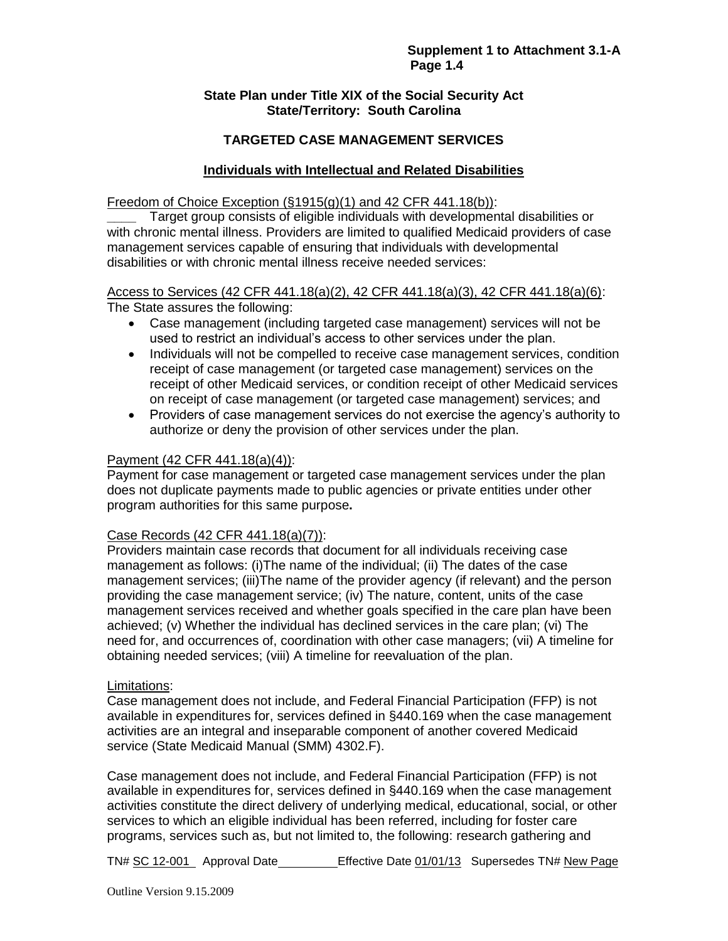### **State Plan under Title XIX of the Social Security Act State/Territory: South Carolina**

# **TARGETED CASE MANAGEMENT SERVICES**

# **Individuals with Intellectual and Related Disabilities**

#### Freedom of Choice Exception  $(\S1915(q)(1)$  and 42 CFR 441.18(b)):

**\_\_\_\_** Target group consists of eligible individuals with developmental disabilities or with chronic mental illness. Providers are limited to qualified Medicaid providers of case management services capable of ensuring that individuals with developmental disabilities or with chronic mental illness receive needed services:

# Access to Services (42 CFR 441.18(a)(2), 42 CFR 441.18(a)(3), 42 CFR 441.18(a)(6):

The State assures the following:

- Case management (including targeted case management) services will not be used to restrict an individual's access to other services under the plan.
- Individuals will not be compelled to receive case management services, condition receipt of case management (or targeted case management) services on the receipt of other Medicaid services, or condition receipt of other Medicaid services on receipt of case management (or targeted case management) services; and
- Providers of case management services do not exercise the agency's authority to authorize or deny the provision of other services under the plan.

### Payment (42 CFR 441.18(a)(4)):

Payment for case management or targeted case management services under the plan does not duplicate payments made to public agencies or private entities under other program authorities for this same purpose**.** 

### Case Records (42 CFR 441.18(a)(7)):

Providers maintain case records that document for all individuals receiving case management as follows: (i)The name of the individual; (ii) The dates of the case management services; (iii)The name of the provider agency (if relevant) and the person providing the case management service; (iv) The nature, content, units of the case management services received and whether goals specified in the care plan have been achieved; (v) Whether the individual has declined services in the care plan; (vi) The need for, and occurrences of, coordination with other case managers; (vii) A timeline for obtaining needed services; (viii) A timeline for reevaluation of the plan.

### Limitations:

Case management does not include, and Federal Financial Participation (FFP) is not available in expenditures for, services defined in §440.169 when the case management activities are an integral and inseparable component of another covered Medicaid service (State Medicaid Manual (SMM) 4302.F).

Case management does not include, and Federal Financial Participation (FFP) is not available in expenditures for, services defined in §440.169 when the case management activities constitute the direct delivery of underlying medical, educational, social, or other services to which an eligible individual has been referred, including for foster care programs, services such as, but not limited to, the following: research gathering and

TN# SC 12-001 Approval Date Effective Date 01/01/13 Supersedes TN# New Page